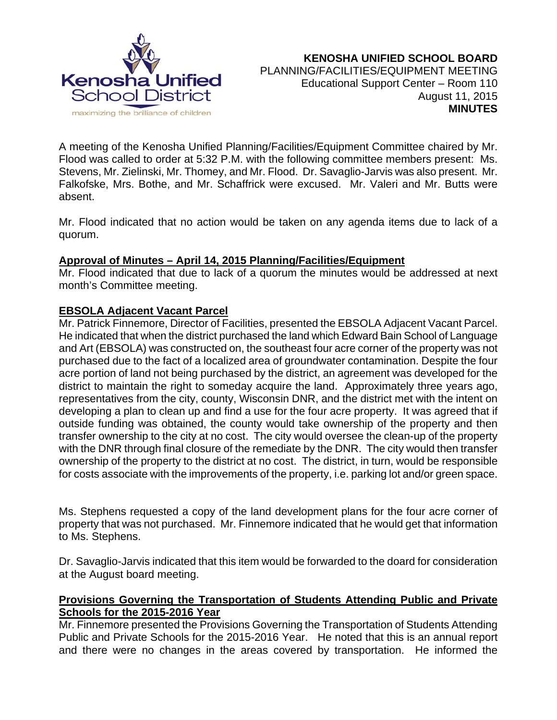

A meeting of the Kenosha Unified Planning/Facilities/Equipment Committee chaired by Mr. Flood was called to order at 5:32 P.M. with the following committee members present: Ms. Stevens, Mr. Zielinski, Mr. Thomey, and Mr. Flood. Dr. Savaglio-Jarvis was also present. Mr. Falkofske, Mrs. Bothe, and Mr. Schaffrick were excused. Mr. Valeri and Mr. Butts were absent.

Mr. Flood indicated that no action would be taken on any agenda items due to lack of a quorum.

# **Approval of Minutes – April 14, 2015 Planning/Facilities/Equipment**

Mr. Flood indicated that due to lack of a quorum the minutes would be addressed at next month's Committee meeting.

# **EBSOLA Adjacent Vacant Parcel**

Mr. Patrick Finnemore, Director of Facilities, presented the EBSOLA Adjacent Vacant Parcel. He indicated that when the district purchased the land which Edward Bain School of Language and Art (EBSOLA) was constructed on, the southeast four acre corner of the property was not purchased due to the fact of a localized area of groundwater contamination. Despite the four acre portion of land not being purchased by the district, an agreement was developed for the district to maintain the right to someday acquire the land. Approximately three years ago, representatives from the city, county, Wisconsin DNR, and the district met with the intent on developing a plan to clean up and find a use for the four acre property. It was agreed that if outside funding was obtained, the county would take ownership of the property and then transfer ownership to the city at no cost. The city would oversee the clean-up of the property with the DNR through final closure of the remediate by the DNR. The city would then transfer ownership of the property to the district at no cost. The district, in turn, would be responsible for costs associate with the improvements of the property, i.e. parking lot and/or green space.

Ms. Stephens requested a copy of the land development plans for the four acre corner of property that was not purchased. Mr. Finnemore indicated that he would get that information to Ms. Stephens.

Dr. Savaglio-Jarvis indicated that this item would be forwarded to the doard for consideration at the August board meeting.

# **Provisions Governing the Transportation of Students Attending Public and Private Schools for the 2015-2016 Year**

Mr. Finnemore presented the Provisions Governing the Transportation of Students Attending Public and Private Schools for the 2015-2016 Year. He noted that this is an annual report and there were no changes in the areas covered by transportation. He informed the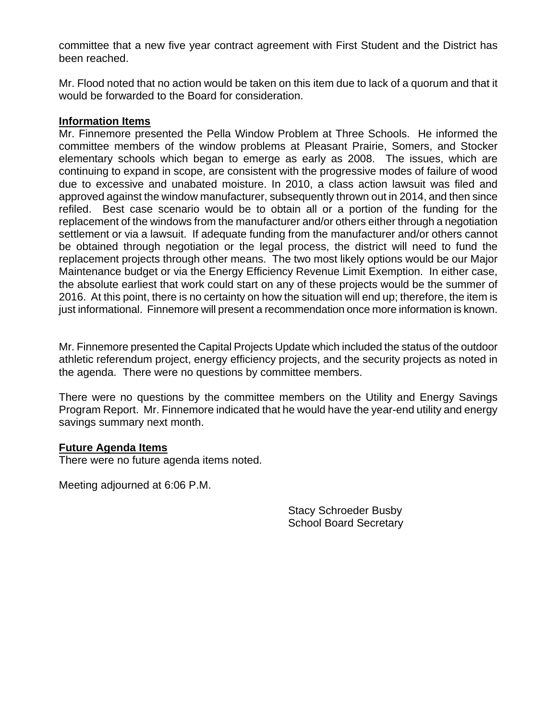committee that a new five year contract agreement with First Student and the District has been reached.

Mr. Flood noted that no action would be taken on this item due to lack of a quorum and that it would be forwarded to the Board for consideration.

#### **Information Items**

Mr. Finnemore presented the Pella Window Problem at Three Schools. He informed the committee members of the window problems at Pleasant Prairie, Somers, and Stocker elementary schools which began to emerge as early as 2008. The issues, which are continuing to expand in scope, are consistent with the progressive modes of failure of wood due to excessive and unabated moisture. In 2010, a class action lawsuit was filed and approved against the window manufacturer, subsequently thrown out in 2014, and then since refiled. Best case scenario would be to obtain all or a portion of the funding for the replacement of the windows from the manufacturer and/or others either through a negotiation settlement or via a lawsuit. If adequate funding from the manufacturer and/or others cannot be obtained through negotiation or the legal process, the district will need to fund the replacement projects through other means. The two most likely options would be our Major Maintenance budget or via the Energy Efficiency Revenue Limit Exemption. In either case, the absolute earliest that work could start on any of these projects would be the summer of 2016. At this point, there is no certainty on how the situation will end up; therefore, the item is just informational. Finnemore will present a recommendation once more information is known.

Mr. Finnemore presented the Capital Projects Update which included the status of the outdoor athletic referendum project, energy efficiency projects, and the security projects as noted in the agenda. There were no questions by committee members.

There were no questions by the committee members on the Utility and Energy Savings Program Report. Mr. Finnemore indicated that he would have the year-end utility and energy savings summary next month.

#### **Future Agenda Items**

There were no future agenda items noted.

Meeting adjourned at 6:06 P.M.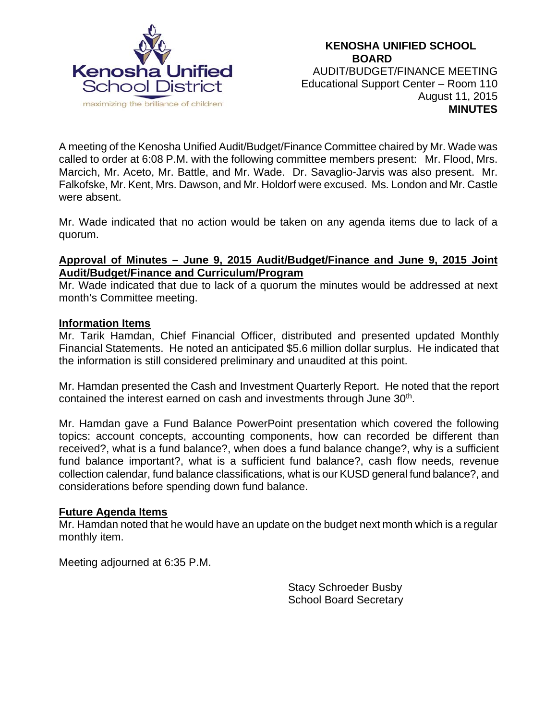

A meeting of the Kenosha Unified Audit/Budget/Finance Committee chaired by Mr. Wade was called to order at 6:08 P.M. with the following committee members present: Mr. Flood, Mrs. Marcich, Mr. Aceto, Mr. Battle, and Mr. Wade. Dr. Savaglio-Jarvis was also present. Mr. Falkofske, Mr. Kent, Mrs. Dawson, and Mr. Holdorf were excused. Ms. London and Mr. Castle were absent.

Mr. Wade indicated that no action would be taken on any agenda items due to lack of a quorum.

### **Approval of Minutes – June 9, 2015 Audit/Budget/Finance and June 9, 2015 Joint Audit/Budget/Finance and Curriculum/Program**

Mr. Wade indicated that due to lack of a quorum the minutes would be addressed at next month's Committee meeting.

### **Information Items**

Mr. Tarik Hamdan, Chief Financial Officer, distributed and presented updated Monthly Financial Statements. He noted an anticipated \$5.6 million dollar surplus. He indicated that the information is still considered preliminary and unaudited at this point.

Mr. Hamdan presented the Cash and Investment Quarterly Report. He noted that the report contained the interest earned on cash and investments through June 30<sup>th</sup>.

Mr. Hamdan gave a Fund Balance PowerPoint presentation which covered the following topics: account concepts, accounting components, how can recorded be different than received?, what is a fund balance?, when does a fund balance change?, why is a sufficient fund balance important?, what is a sufficient fund balance?, cash flow needs, revenue collection calendar, fund balance classifications, what is our KUSD general fund balance?, and considerations before spending down fund balance.

### **Future Agenda Items**

Mr. Hamdan noted that he would have an update on the budget next month which is a regular monthly item.

Meeting adjourned at 6:35 P.M.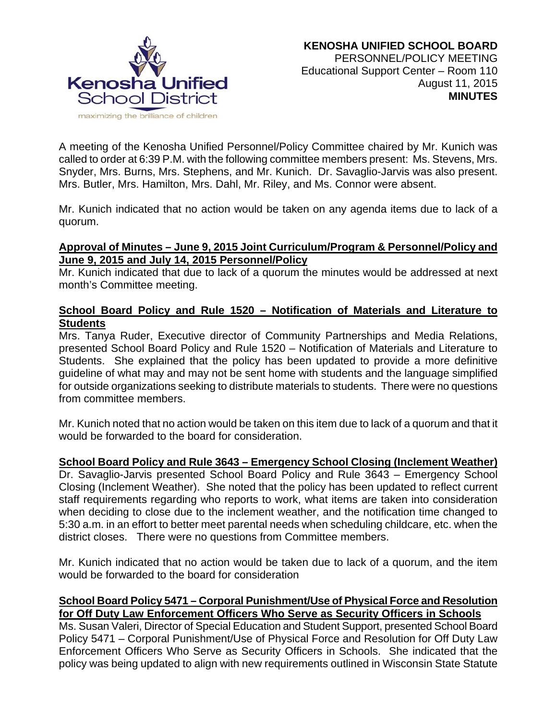

A meeting of the Kenosha Unified Personnel/Policy Committee chaired by Mr. Kunich was called to order at 6:39 P.M. with the following committee members present: Ms. Stevens, Mrs. Snyder, Mrs. Burns, Mrs. Stephens, and Mr. Kunich. Dr. Savaglio-Jarvis was also present. Mrs. Butler, Mrs. Hamilton, Mrs. Dahl, Mr. Riley, and Ms. Connor were absent.

Mr. Kunich indicated that no action would be taken on any agenda items due to lack of a quorum.

### **Approval of Minutes – June 9, 2015 Joint Curriculum/Program & Personnel/Policy and June 9, 2015 and July 14, 2015 Personnel/Policy**

Mr. Kunich indicated that due to lack of a quorum the minutes would be addressed at next month's Committee meeting.

# **School Board Policy and Rule 1520 – Notification of Materials and Literature to Students**

Mrs. Tanya Ruder, Executive director of Community Partnerships and Media Relations, presented School Board Policy and Rule 1520 – Notification of Materials and Literature to Students. She explained that the policy has been updated to provide a more definitive guideline of what may and may not be sent home with students and the language simplified for outside organizations seeking to distribute materials to students. There were no questions from committee members.

Mr. Kunich noted that no action would be taken on this item due to lack of a quorum and that it would be forwarded to the board for consideration.

### **School Board Policy and Rule 3643 – Emergency School Closing (Inclement Weather)**

Dr. Savaglio-Jarvis presented School Board Policy and Rule 3643 – Emergency School Closing (Inclement Weather). She noted that the policy has been updated to reflect current staff requirements regarding who reports to work, what items are taken into consideration when deciding to close due to the inclement weather, and the notification time changed to 5:30 a.m. in an effort to better meet parental needs when scheduling childcare, etc. when the district closes. There were no questions from Committee members.

Mr. Kunich indicated that no action would be taken due to lack of a quorum, and the item would be forwarded to the board for consideration

### **School Board Policy 5471 – Corporal Punishment/Use of Physical Force and Resolution for Off Duty Law Enforcement Officers Who Serve as Security Officers in Schools**

Ms. Susan Valeri, Director of Special Education and Student Support, presented School Board Policy 5471 – Corporal Punishment/Use of Physical Force and Resolution for Off Duty Law Enforcement Officers Who Serve as Security Officers in Schools. She indicated that the policy was being updated to align with new requirements outlined in Wisconsin State Statute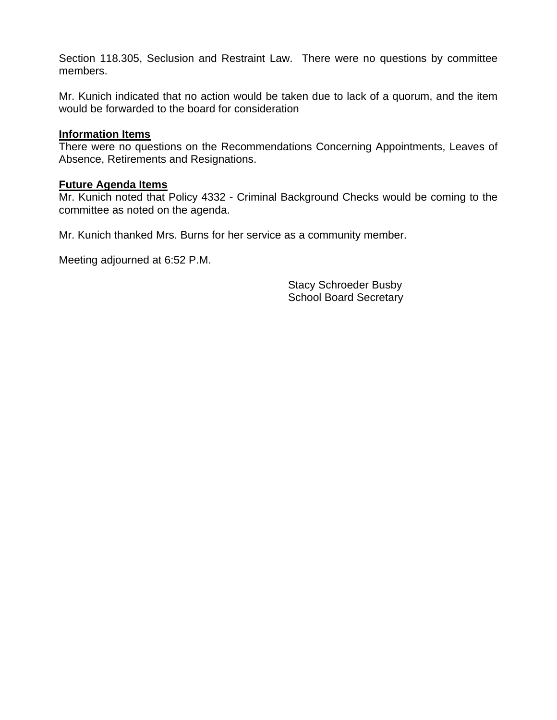Section 118.305, Seclusion and Restraint Law. There were no questions by committee members.

Mr. Kunich indicated that no action would be taken due to lack of a quorum, and the item would be forwarded to the board for consideration

#### **Information Items**

There were no questions on the Recommendations Concerning Appointments, Leaves of Absence, Retirements and Resignations.

#### **Future Agenda Items**

Mr. Kunich noted that Policy 4332 - Criminal Background Checks would be coming to the committee as noted on the agenda.

Mr. Kunich thanked Mrs. Burns for her service as a community member.

Meeting adjourned at 6:52 P.M.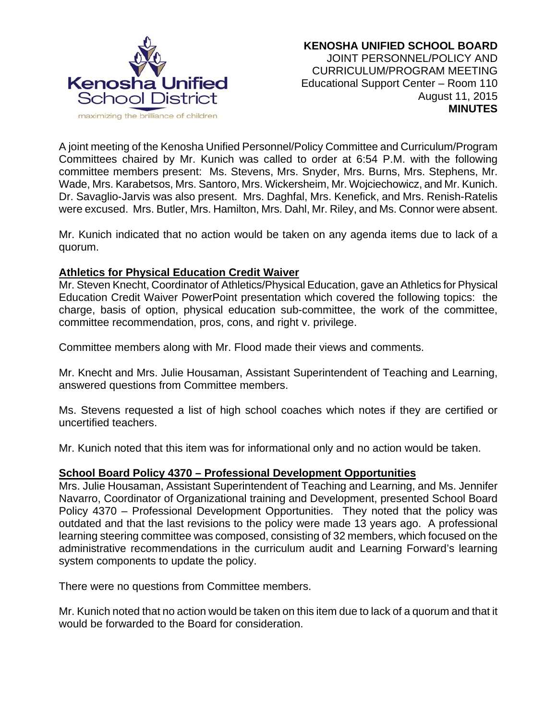

A joint meeting of the Kenosha Unified Personnel/Policy Committee and Curriculum/Program Committees chaired by Mr. Kunich was called to order at 6:54 P.M. with the following committee members present: Ms. Stevens, Mrs. Snyder, Mrs. Burns, Mrs. Stephens, Mr. Wade, Mrs. Karabetsos, Mrs. Santoro, Mrs. Wickersheim, Mr. Wojciechowicz, and Mr. Kunich. Dr. Savaglio-Jarvis was also present. Mrs. Daghfal, Mrs. Kenefick, and Mrs. Renish-Ratelis were excused. Mrs. Butler, Mrs. Hamilton, Mrs. Dahl, Mr. Riley, and Ms. Connor were absent.

Mr. Kunich indicated that no action would be taken on any agenda items due to lack of a quorum.

#### **Athletics for Physical Education Credit Waiver**

Mr. Steven Knecht, Coordinator of Athletics/Physical Education, gave an Athletics for Physical Education Credit Waiver PowerPoint presentation which covered the following topics: the charge, basis of option, physical education sub-committee, the work of the committee, committee recommendation, pros, cons, and right v. privilege.

Committee members along with Mr. Flood made their views and comments.

Mr. Knecht and Mrs. Julie Housaman, Assistant Superintendent of Teaching and Learning, answered questions from Committee members.

Ms. Stevens requested a list of high school coaches which notes if they are certified or uncertified teachers.

Mr. Kunich noted that this item was for informational only and no action would be taken.

#### **School Board Policy 4370 – Professional Development Opportunities**

Mrs. Julie Housaman, Assistant Superintendent of Teaching and Learning, and Ms. Jennifer Navarro, Coordinator of Organizational training and Development, presented School Board Policy 4370 – Professional Development Opportunities. They noted that the policy was outdated and that the last revisions to the policy were made 13 years ago. A professional learning steering committee was composed, consisting of 32 members, which focused on the administrative recommendations in the curriculum audit and Learning Forward's learning system components to update the policy.

There were no questions from Committee members.

Mr. Kunich noted that no action would be taken on this item due to lack of a quorum and that it would be forwarded to the Board for consideration.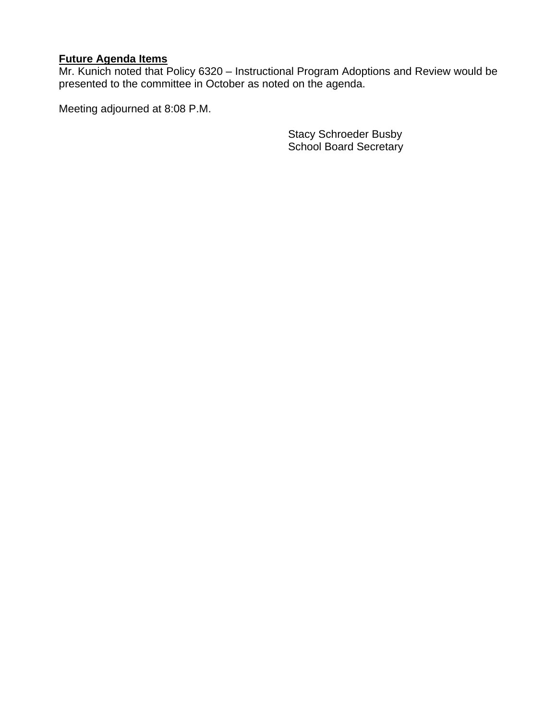## **Future Agenda Items**

Mr. Kunich noted that Policy 6320 – Instructional Program Adoptions and Review would be presented to the committee in October as noted on the agenda.

Meeting adjourned at 8:08 P.M.